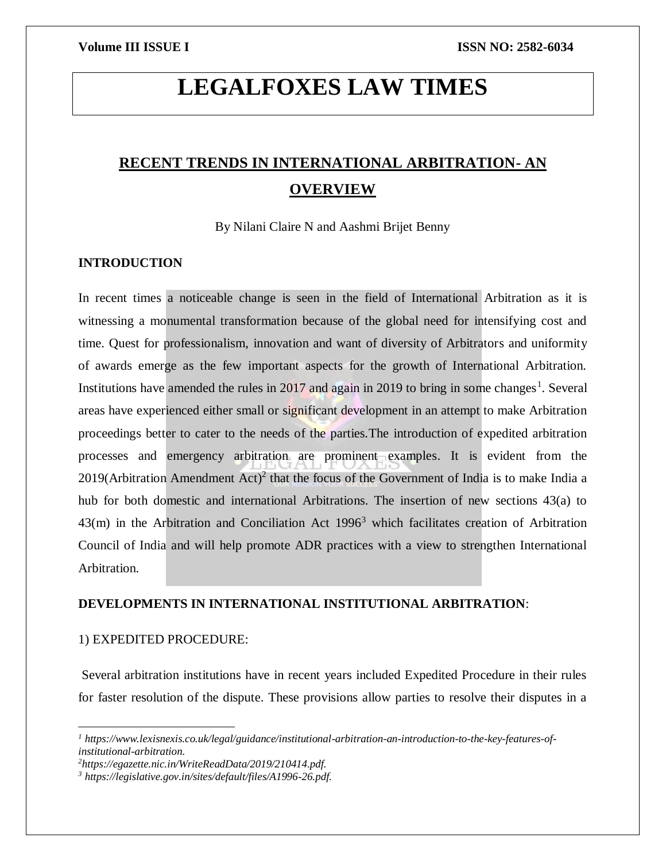# **LEGALFOXES LAW TIMES**

# **RECENT TRENDS IN INTERNATIONAL ARBITRATION- AN OVERVIEW**

By Nilani Claire N and Aashmi Brijet Benny

# **INTRODUCTION**

In recent times a noticeable change is seen in the field of International Arbitration as it is witnessing a monumental transformation because of the global need for intensifying cost and time. Quest for professionalism, innovation and want of diversity of Arbitrators and uniformity of awards emerge as the few important aspects for the growth of International Arbitration. Institutions have amended the rules in  $2017$  and again in 2019 to bring in some changes<sup>1</sup>. Several areas have experienced either small or significant development in an attempt to make Arbitration proceedings better to cater to the needs of the parties.The introduction of expedited arbitration processes and emergency arbitration are prominent examples. It is evident from the 2019(Arbitration Amendment Act)<sup>2</sup> that the focus of the Government of India is to make India a hub for both domestic and international Arbitrations. The insertion of new sections 43(a) to  $43(m)$  in the Arbitration and Conciliation Act  $1996<sup>3</sup>$  which facilitates creation of Arbitration Council of India and will help promote ADR practices with a view to strengthen International Arbitration.

# **DEVELOPMENTS IN INTERNATIONAL INSTITUTIONAL ARBITRATION**:

# 1) EXPEDITED PROCEDURE:

 $\overline{a}$ 

Several arbitration institutions have in recent years included Expedited Procedure in their rules for faster resolution of the dispute. These provisions allow parties to resolve their disputes in a

*<sup>1</sup> https://www.lexisnexis.co.uk/legal/guidance/institutional-arbitration-an-introduction-to-the-key-features-ofinstitutional-arbitration.*

*<sup>2</sup>https://egazette.nic.in/WriteReadData/2019/210414.pdf.*

*<sup>3</sup> https://legislative.gov.in/sites/default/files/A1996-26.pdf.*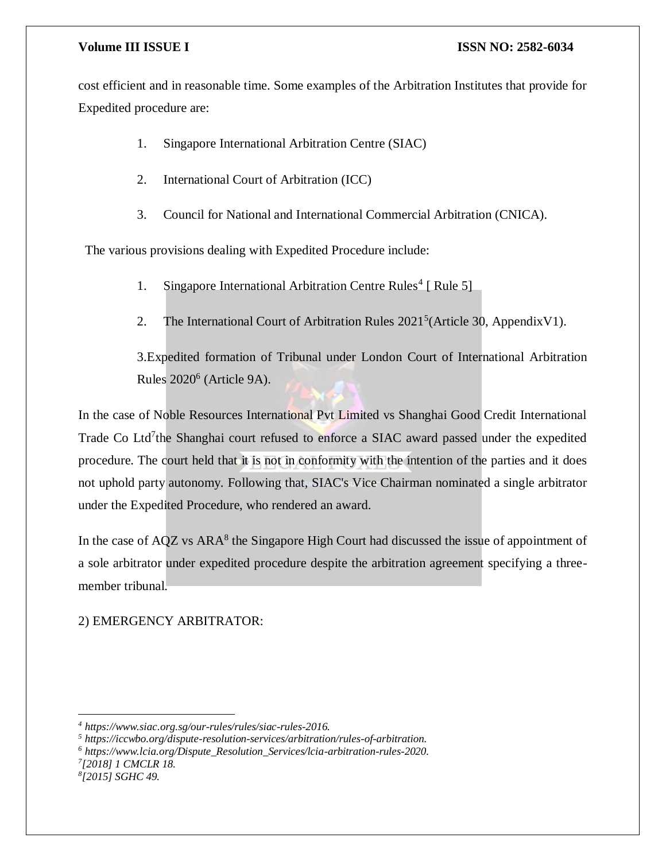cost efficient and in reasonable time. Some examples of the Arbitration Institutes that provide for Expedited procedure are:

1. Singapore International Arbitration Centre (SIAC)

2. International Court of Arbitration (ICC)

3. Council for National and International Commercial Arbitration (CNICA).

The various provisions dealing with Expedited Procedure include:

- 1. Singapore International Arbitration Centre Rules<sup>4</sup> [ Rule 5]
- 2. The International Court of Arbitration Rules  $2021<sup>5</sup>$  (Article 30, AppendixV1).

3.Expedited formation of Tribunal under London Court of International Arbitration Rules 2020<sup>6</sup> (Article 9A).

In the case of Noble Resources International Pvt Limited vs Shanghai Good Credit International Trade Co Ltd<sup>7</sup>the Shanghai court refused to enforce a SIAC award passed under the expedited procedure. The court held that it is not in conformity with the intention of the parties and it does not uphold party autonomy. Following that, SIAC's Vice Chairman nominated a single arbitrator under the Expedited Procedure, who rendered an award.

In the case of AQZ vs ARA<sup>8</sup> the Singapore High Court had discussed the issue of appointment of a sole arbitrator under expedited procedure despite the arbitration agreement specifying a threemember tribunal.

### 2) EMERGENCY ARBITRATOR:

*7 [2018] 1 CMCLR 18.*

 $\overline{\phantom{a}}$ 

*<sup>4</sup> https://www.siac.org.sg/our-rules/rules/siac-rules-2016.*

*<sup>5</sup> https://iccwbo.org/dispute-resolution-services/arbitration/rules-of-arbitration.*

*<sup>6</sup> https://www.lcia.org/Dispute\_Resolution\_Services/lcia-arbitration-rules-2020.*

*<sup>8</sup> [2015] SGHC 49.*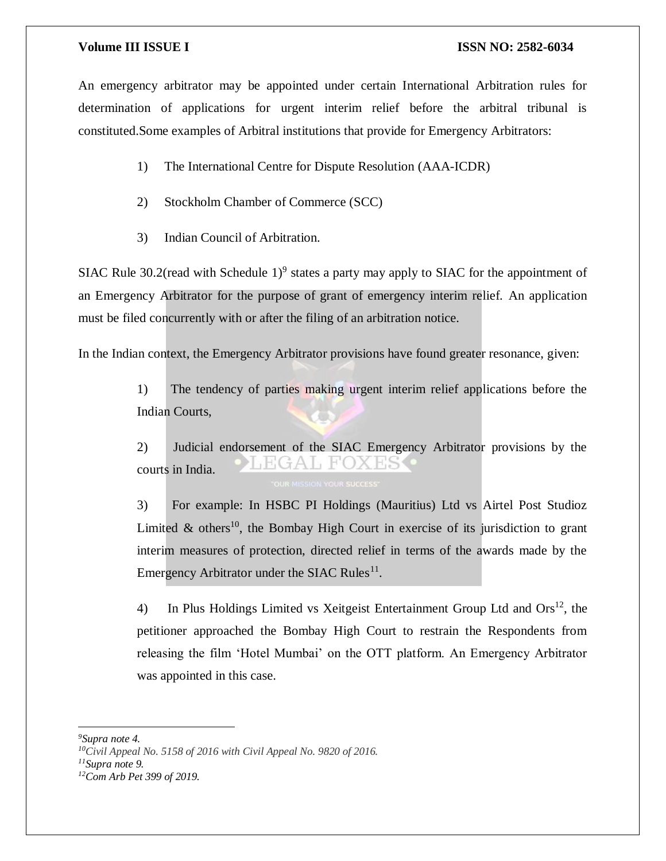An emergency arbitrator may be appointed under certain International Arbitration rules for determination of applications for urgent interim relief before the arbitral tribunal is constituted.Some examples of Arbitral institutions that provide for Emergency Arbitrators:

- 1) The International Centre for Dispute Resolution (AAA-ICDR)
- 2) Stockholm Chamber of Commerce (SCC)
- 3) Indian Council of Arbitration.

SIAC Rule 30.2(read with Schedule  $1)^9$  states a party may apply to SIAC for the appointment of an Emergency Arbitrator for the purpose of grant of emergency interim relief. An application must be filed concurrently with or after the filing of an arbitration notice.

In the Indian context, the Emergency Arbitrator provisions have found greater resonance, given:

1) The tendency of parties making urgent interim relief applications before the Indian Courts,

2) Judicial endorsement of the SIAC Emergency Arbitrator provisions by the EGAL FOX **His** courts in India.

3) For example: In HSBC PI Holdings (Mauritius) Ltd vs Airtel Post Studioz Limited  $\&$  others<sup>10</sup>, the Bombay High Court in exercise of its jurisdiction to grant interim measures of protection, directed relief in terms of the awards made by the Emergency Arbitrator under the SIAC Rules<sup>11</sup>.

4) In Plus Holdings Limited vs Xeitgeist Entertainment Group Ltd and  $\text{Ors}^{12}$ , the petitioner approached the Bombay High Court to restrain the Respondents from releasing the film 'Hotel Mumbai' on the OTT platform. An Emergency Arbitrator was appointed in this case.

 $\overline{a}$ 

*<sup>11</sup>Supra note 9.*

*<sup>9</sup>Supra note 4.*

*<sup>10</sup>Civil Appeal No. 5158 of 2016 with Civil Appeal No. 9820 of 2016.*

*<sup>12</sup>Com Arb Pet 399 of 2019.*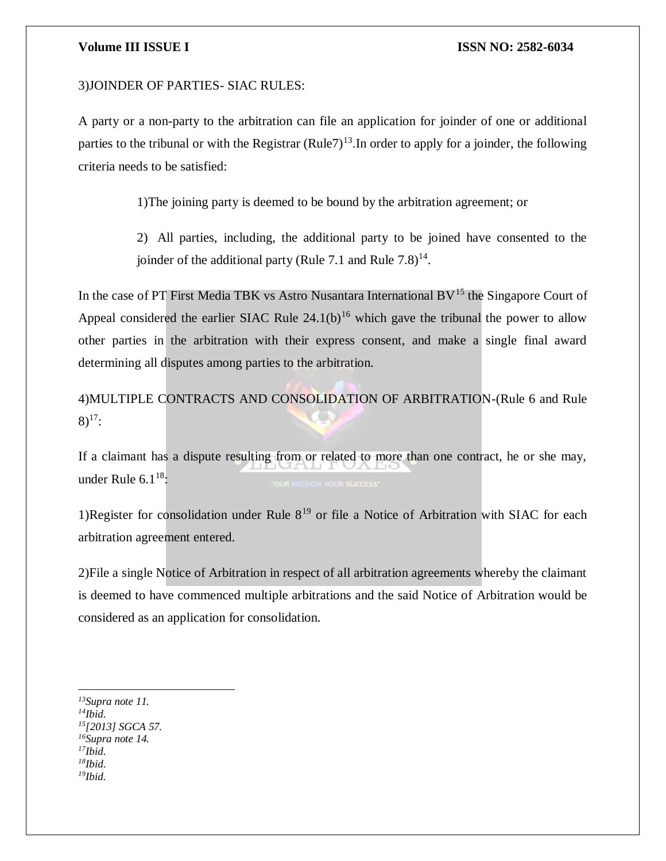#### 3)JOINDER OF PARTIES- SIAC RULES:

A party or a non-party to the arbitration can file an application for joinder of one or additional parties to the tribunal or with the Registrar  $(Rule7)<sup>13</sup>$ . In order to apply for a joinder, the following criteria needs to be satisfied:

1)The joining party is deemed to be bound by the arbitration agreement; or

2) All parties, including, the additional party to be joined have consented to the joinder of the additional party (Rule 7.1 and Rule  $7.8)$ <sup>14</sup>.

In the case of PT First Media TBK vs Astro Nusantara International  $BV<sup>15</sup>$  the Singapore Court of Appeal considered the earlier SIAC Rule  $24.1(b)^{16}$  which gave the tribunal the power to allow other parties in the arbitration with their express consent, and make a single final award determining all disputes among parties to the arbitration.

4)MULTIPLE CONTRACTS AND CONSOLIDATION OF ARBITRATION-(Rule 6 and Rule  $8)$ <sup>17</sup>:

If a claimant has a dispute resulting from or related to more than one contract, he or she may, under Rule  $6.1^{18}$ :

1)Register for consolidation under Rule  $8^{19}$  or file a Notice of Arbitration with SIAC for each arbitration agreement entered.

2)File a single Notice of Arbitration in respect of all arbitration agreements whereby the claimant is deemed to have commenced multiple arbitrations and the said Notice of Arbitration would be considered as an application for consolidation.

 $\overline{\phantom{a}}$ *<sup>13</sup>Supra note 11. <sup>14</sup>Ibid. <sup>15</sup>[2013] SGCA 57. <sup>16</sup>Supra note 14. <sup>17</sup>Ibid. <sup>18</sup>Ibid. 19Ibid.*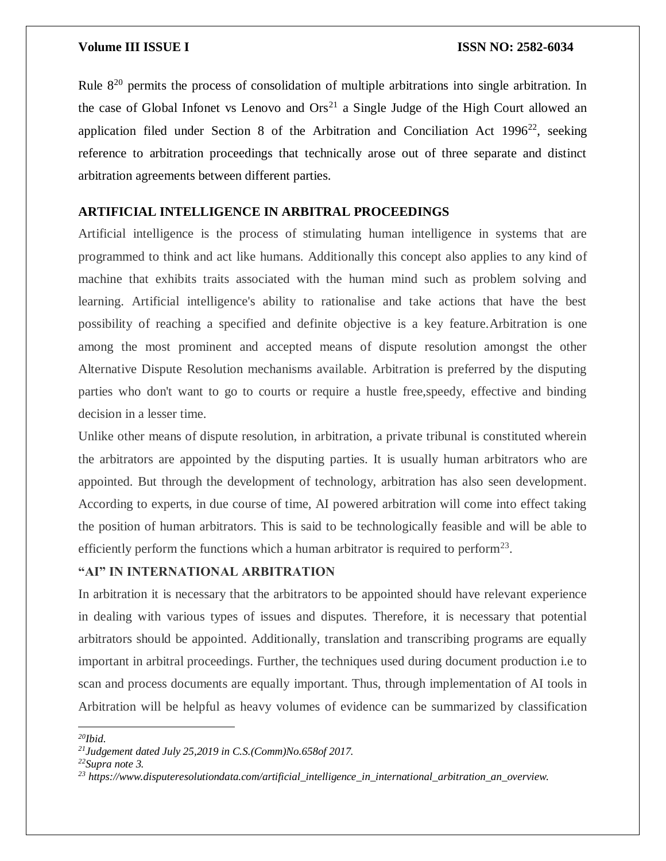Rule 8<sup>20</sup> permits the process of consolidation of multiple arbitrations into single arbitration. In the case of Global Infonet vs Lenovo and  $\text{Ors}^{21}$  a Single Judge of the High Court allowed an application filed under Section 8 of the Arbitration and Conciliation Act  $1996^{22}$ , seeking reference to arbitration proceedings that technically arose out of three separate and distinct arbitration agreements between different parties.

# **ARTIFICIAL INTELLIGENCE IN ARBITRAL PROCEEDINGS**

Artificial intelligence is the process of stimulating human intelligence in systems that are programmed to think and act like humans. Additionally this concept also applies to any kind of machine that exhibits traits associated with the human mind such as problem solving and learning. Artificial intelligence's ability to rationalise and take actions that have the best possibility of reaching a specified and definite objective is a key feature.Arbitration is one among the most prominent and accepted means of dispute resolution amongst the other Alternative Dispute Resolution mechanisms available. Arbitration is preferred by the disputing parties who don't want to go to courts or require a hustle free,speedy, effective and binding decision in a lesser time.

Unlike other means of dispute resolution, in arbitration, a private tribunal is constituted wherein the arbitrators are appointed by the disputing parties. It is usually human arbitrators who are appointed. But through the development of technology, arbitration has also seen development. According to experts, in due course of time, AI powered arbitration will come into effect taking the position of human arbitrators. This is said to be technologically feasible and will be able to efficiently perform the functions which a human arbitrator is required to perform<sup>23</sup>.

### **"AI" IN INTERNATIONAL ARBITRATION**

In arbitration it is necessary that the arbitrators to be appointed should have relevant experience in dealing with various types of issues and disputes. Therefore, it is necessary that potential arbitrators should be appointed. Additionally, translation and transcribing programs are equally important in arbitral proceedings. Further, the techniques used during document production i.e to scan and process documents are equally important. Thus, through implementation of AI tools in Arbitration will be helpful as heavy volumes of evidence can be summarized by classification

*<sup>20</sup>Ibid.*

 $\overline{a}$ 

*<sup>21</sup>Judgement dated July 25,2019 in C.S.(Comm)No.658of 2017.*

*<sup>22</sup>Supra note 3.*

*<sup>23</sup> https://www.disputeresolutiondata.com/artificial\_intelligence\_in\_international\_arbitration\_an\_overview.*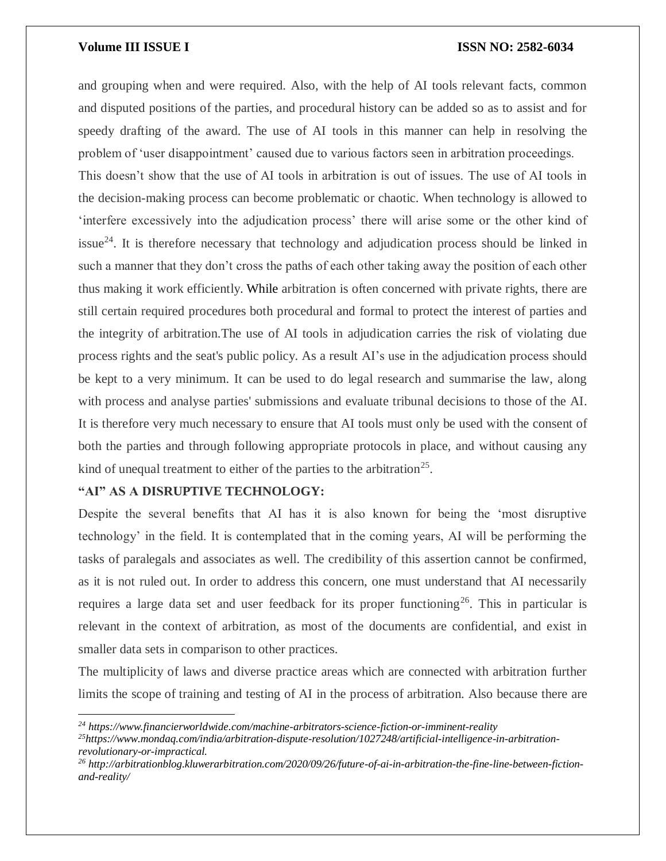and grouping when and were required. Also, with the help of AI tools relevant facts, common and disputed positions of the parties, and procedural history can be added so as to assist and for speedy drafting of the award. The use of AI tools in this manner can help in resolving the problem of 'user disappointment' caused due to various factors seen in arbitration proceedings. This doesn't show that the use of AI tools in arbitration is out of issues. The use of AI tools in the decision-making process can become problematic or chaotic. When technology is allowed to 'interfere excessively into the adjudication process' there will arise some or the other kind of issue<sup>24</sup>. It is therefore necessary that technology and adjudication process should be linked in such a manner that they don't cross the paths of each other taking away the position of each other thus making it work efficiently. While arbitration is often concerned with private rights, there are still certain required procedures both procedural and formal to protect the interest of parties and the integrity of arbitration.The use of AI tools in adjudication carries the risk of violating due process rights and the seat's public policy. As a result AI's use in the adjudication process should be kept to a very minimum. It can be used to do legal research and summarise the law, along with process and analyse parties' submissions and evaluate tribunal decisions to those of the AI. It is therefore very much necessary to ensure that AI tools must only be used with the consent of both the parties and through following appropriate protocols in place, and without causing any kind of unequal treatment to either of the parties to the arbitration<sup>25</sup>.

# **"AI" AS A DISRUPTIVE TECHNOLOGY:**

 $\overline{\phantom{a}}$ 

Despite the several benefits that AI has it is also known for being the 'most disruptive technology' in the field. It is contemplated that in the coming years, AI will be performing the tasks of paralegals and associates as well. The credibility of this assertion cannot be confirmed, as it is not ruled out. In order to address this concern, one must understand that AI necessarily requires a large data set and user feedback for its proper functioning<sup>26</sup>. This in particular is relevant in the context of arbitration, as most of the documents are confidential, and exist in smaller data sets in comparison to other practices.

The multiplicity of laws and diverse practice areas which are connected with arbitration further limits the scope of training and testing of AI in the process of arbitration. Also because there are

*<sup>24</sup> https://www.financierworldwide.com/machine-arbitrators-science-fiction-or-imminent-reality*

*<sup>25</sup>https://www.mondaq.com/india/arbitration-dispute-resolution/1027248/artificial-intelligence-in-arbitrationrevolutionary-or-impractical.*

*<sup>26</sup> http://arbitrationblog.kluwerarbitration.com/2020/09/26/future-of-ai-in-arbitration-the-fine-line-between-fictionand-reality/*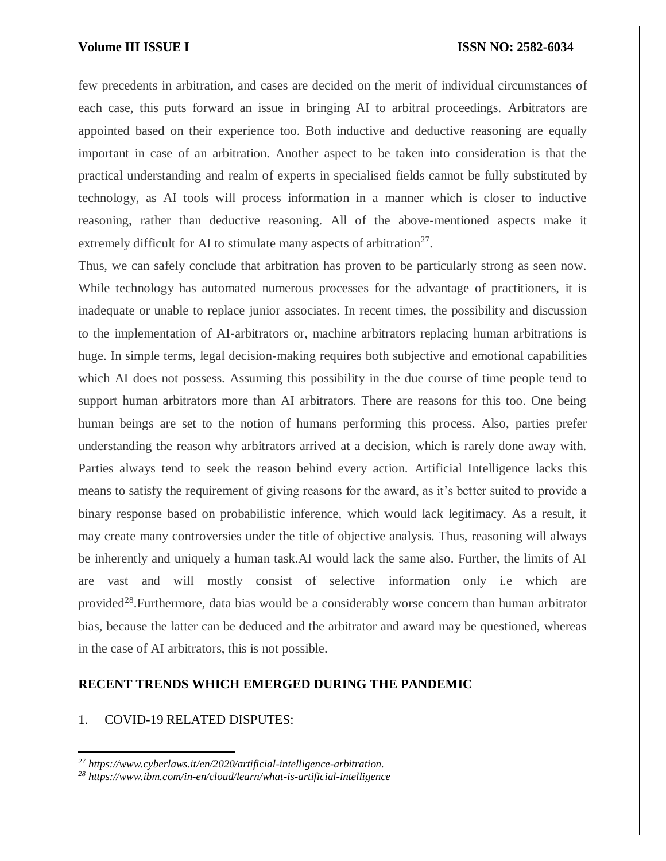few precedents in arbitration, and cases are decided on the merit of individual circumstances of each case, this puts forward an issue in bringing AI to arbitral proceedings. Arbitrators are appointed based on their experience too. Both inductive and deductive reasoning are equally important in case of an arbitration. Another aspect to be taken into consideration is that the practical understanding and realm of experts in specialised fields cannot be fully substituted by technology, as AI tools will process information in a manner which is closer to inductive reasoning, rather than deductive reasoning. All of the above-mentioned aspects make it extremely difficult for AI to stimulate many aspects of arbitration<sup>27</sup>.

Thus, we can safely conclude that arbitration has proven to be particularly strong as seen now. While technology has automated numerous processes for the advantage of practitioners, it is inadequate or unable to replace junior associates. In recent times, the possibility and discussion to the implementation of AI-arbitrators or, machine arbitrators replacing human arbitrations is huge. In simple terms, legal decision-making requires both subjective and emotional capabilities which AI does not possess. Assuming this possibility in the due course of time people tend to support human arbitrators more than AI arbitrators. There are reasons for this too. One being human beings are set to the notion of humans performing this process. Also, parties prefer understanding the reason why arbitrators arrived at a decision, which is rarely done away with. Parties always tend to seek the reason behind every action. Artificial Intelligence lacks this means to satisfy the requirement of giving reasons for the award, as it's better suited to provide a binary response based on probabilistic inference, which would lack legitimacy. As a result, it may create many controversies under the title of objective analysis. Thus, reasoning will always be inherently and uniquely a human task.AI would lack the same also. Further, the limits of AI are vast and will mostly consist of selective information only i.e which are provided<sup>28</sup>. Furthermore, data bias would be a considerably worse concern than human arbitrator bias, because the latter can be deduced and the arbitrator and award may be questioned, whereas in the case of AI arbitrators, this is not possible.

# **RECENT TRENDS WHICH EMERGED DURING THE PANDEMIC**

# 1. COVID-19 RELATED DISPUTES:

 $\overline{\phantom{a}}$ 

*<sup>27</sup> https://www.cyberlaws.it/en/2020/artificial-intelligence-arbitration.*

*<sup>28</sup> https://www.ibm.com/in-en/cloud/learn/what-is-artificial-intelligence*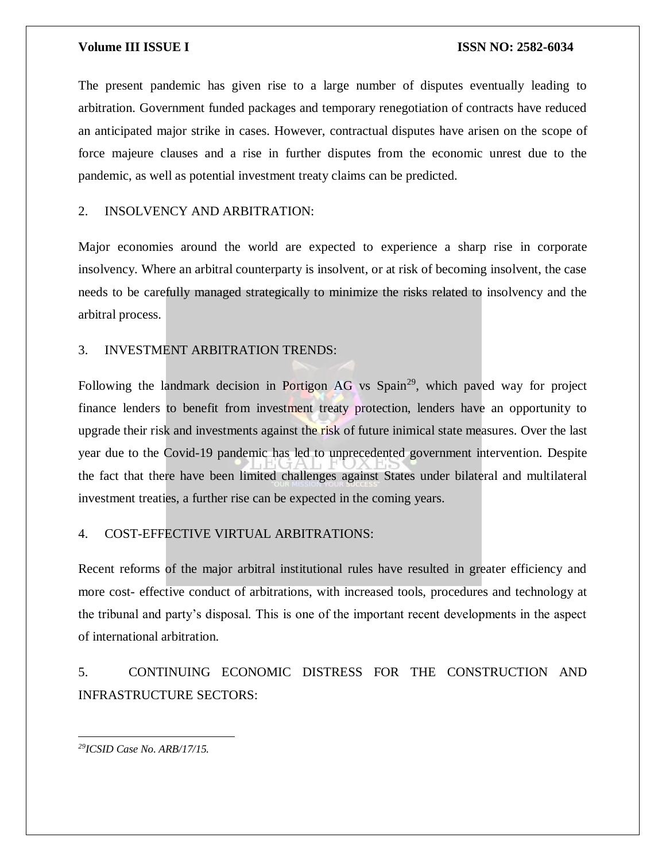The present pandemic has given rise to a large number of disputes eventually leading to arbitration. Government funded packages and temporary renegotiation of contracts have reduced an anticipated major strike in cases. However, contractual disputes have arisen on the scope of force majeure clauses and a rise in further disputes from the economic unrest due to the pandemic, as well as potential investment treaty claims can be predicted.

### 2. INSOLVENCY AND ARBITRATION:

Major economies around the world are expected to experience a sharp rise in corporate insolvency. Where an arbitral counterparty is insolvent, or at risk of becoming insolvent, the case needs to be carefully managed strategically to minimize the risks related to insolvency and the arbitral process.

## 3. INVESTMENT ARBITRATION TRENDS:

Following the landmark decision in Portigon AG vs Spain<sup>29</sup>, which paved way for project finance lenders to benefit from investment treaty protection, lenders have an opportunity to upgrade their risk and investments against the risk of future inimical state measures. Over the last year due to the Covid-19 pandemic has led to unprecedented government intervention. Despite the fact that there have been limited challenges against States under bilateral and multilateral investment treaties, a further rise can be expected in the coming years.

## 4. COST-EFFECTIVE VIRTUAL ARBITRATIONS:

Recent reforms of the major arbitral institutional rules have resulted in greater efficiency and more cost- effective conduct of arbitrations, with increased tools, procedures and technology at the tribunal and party's disposal. This is one of the important recent developments in the aspect of international arbitration.

5. CONTINUING ECONOMIC DISTRESS FOR THE CONSTRUCTION AND INFRASTRUCTURE SECTORS:

 $\overline{\phantom{a}}$ *29ICSID Case No. ARB/17/15.*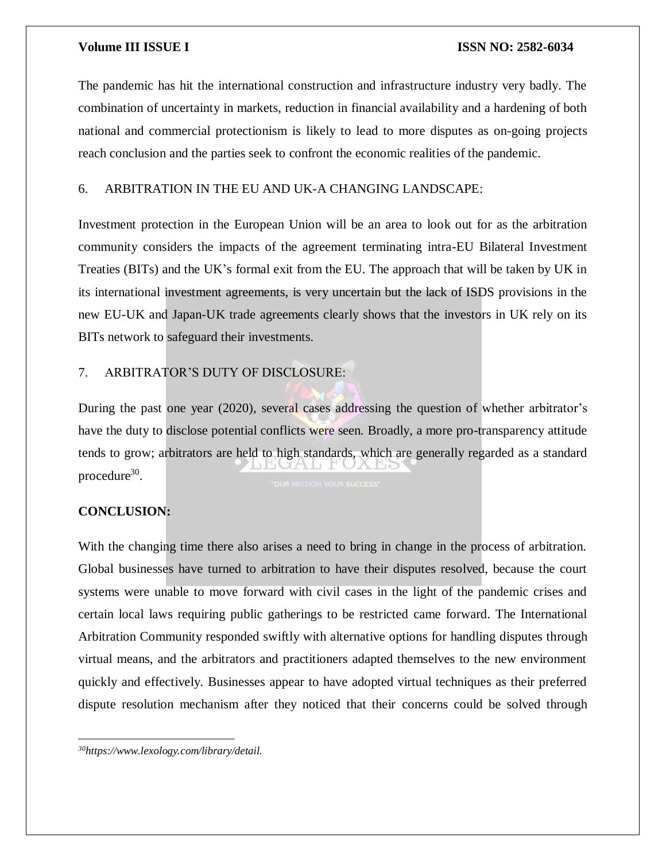The pandemic has hit the international construction and infrastructure industry very badly. The combination of uncertainty in markets, reduction in financial availability and a hardening of both national and commercial protectionism is likely to lead to more disputes as on-going projects reach conclusion and the parties seek to confront the economic realities of the pandemic.

# 6. ARBITRATION IN THE EU AND UK-A CHANGING LANDSCAPE:

Investment protection in the European Union will be an area to look out for as the arbitration community considers the impacts of the agreement terminating intra-EU Bilateral Investment Treaties (BITs) and the UK's formal exit from the EU. The approach that will be taken by UK in its international investment agreements, is very uncertain but the lack of ISDS provisions in the new EU-UK and Japan-UK trade agreements clearly shows that the investors in UK rely on its BITs network to safeguard their investments.

# 7. ARBITRATOR'S DUTY OF DISCLOSURE:

During the past one year (2020), several cases addressing the question of whether arbitrator's have the duty to disclose potential conflicts were seen. Broadly, a more pro-transparency attitude tends to grow; arbitrators are held to high standards, which are generally regarded as a standard LIPIUTA LI P procedure<sup>30</sup>.

# **CONCLUSION:**

 $\overline{\phantom{a}}$ 

With the changing time there also arises a need to bring in change in the process of arbitration. Global businesses have turned to arbitration to have their disputes resolved, because the court systems were unable to move forward with civil cases in the light of the pandemic crises and certain local laws requiring public gatherings to be restricted came forward. The International Arbitration Community responded swiftly with alternative options for handling disputes through virtual means, and the arbitrators and practitioners adapted themselves to the new environment quickly and effectively. Businesses appear to have adopted virtual techniques as their preferred dispute resolution mechanism after they noticed that their concerns could be solved through

*30https://www.lexology.com/library/detail.*